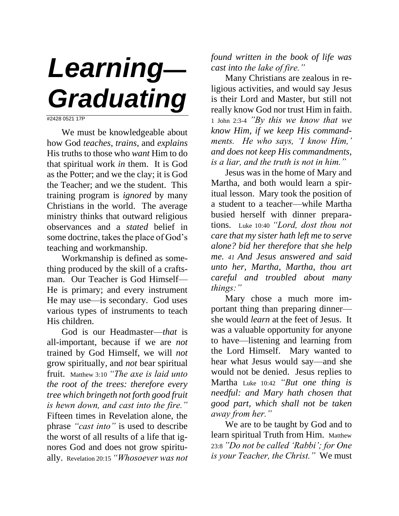## *Learning— Graduating*

#2428 0521 17P

We must be knowledgeable about how God *teaches*, *trains*, and *explains* His truths to those who *want* Him to do that spiritual work *in* them. It is God as the Potter; and we the clay; it is God the Teacher; and we the student. This training program is *ignored* by many Christians in the world. The average ministry thinks that outward religious observances and a *stated* belief in some doctrine, takes the place of God's teaching and workmanship.

Workmanship is defined as something produced by the skill of a craftsman. Our Teacher is God Himself— He is primary; and every instrument He may use—is secondary. God uses various types of instruments to teach His children.

God is our Headmaster—*that* is all-important, because if we are *not* trained by God Himself, we will *not* grow spiritually, and *not* bear spiritual fruit. Matthew 3:10 *"The axe is laid unto the root of the trees: therefore every tree which bringeth not forth good fruit is hewn down, and cast into the fire."* Fifteen times in Revelation alone, the phrase *"cast into"* is used to describe the worst of all results of a life that ignores God and does not grow spiritually. Revelation 20:15 *"Whosoever was not*  *found written in the book of life was cast into the lake of fire."*

Many Christians are zealous in religious activities, and would say Jesus is their Lord and Master, but still not really know God nor trust Him in faith. 1 John 2:3-4 *"By this we know that we know Him, if we keep His commandments. He who says, 'I know Him,' and does not keep His commandments, is a liar, and the truth is not in him."*

Jesus was in the home of Mary and Martha, and both would learn a spiritual lesson. Mary took the position of a student to a teacher—while Martha busied herself with dinner preparations. Luke 10:40 *"Lord, dost thou not care that my sister hath left me to serve alone? bid her therefore that she help me. 41 And Jesus answered and said unto her, Martha, Martha, thou art careful and troubled about many things:"*

Mary chose a much more important thing than preparing dinner she would *learn* at the feet of Jesus. It was a valuable opportunity for anyone to have—listening and learning from the Lord Himself. Mary wanted to hear what Jesus would say—and she would not be denied. Jesus replies to Martha Luke 10:42 *"But one thing is needful: and Mary hath chosen that good part, which shall not be taken away from her."*

We are to be taught by God and to learn spiritual Truth from Him. Matthew 23:8 *"Do not be called 'Rabbi'; for One is your Teacher, the Christ."* We must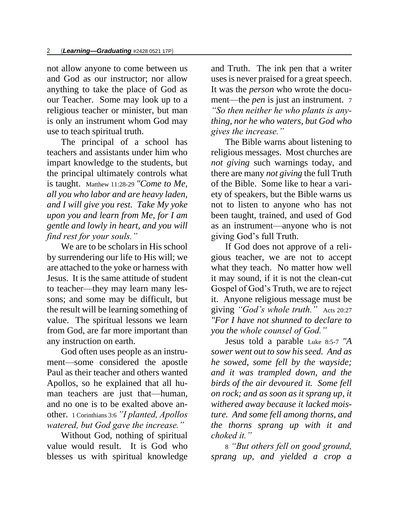not allow anyone to come between us and God as our instructor; nor allow anything to take the place of God as our Teacher. Some may look up to a religious teacher or minister, but man is only an instrument whom God may use to teach spiritual truth.

The principal of a school has teachers and assistants under him who impart knowledge to the students, but the principal ultimately controls what is taught. Matthew 11:28-29 *"Come to Me, all you who labor and are heavy laden, and I will give you rest. Take My yoke upon you and learn from Me, for I am gentle and lowly in heart, and you will find rest for your souls."*

We are to be scholars in His school by surrendering our life to His will; we are attached to the yoke or harness with Jesus. It is the same attitude of student to teacher—they may learn many lessons; and some may be difficult, but the result will be learning something of value. The spiritual lessons we learn from God, are far more important than any instruction on earth.

God often uses people as an instrument—some considered the apostle Paul as their teacher and others wanted Apollos, so he explained that all human teachers are just that—human, and no one is to be exalted above another. 1 Corinthians 3:6 *"I planted, Apollos watered, but God gave the increase."*

Without God, nothing of spiritual value would result. It is God who blesses us with spiritual knowledge

and Truth. The ink pen that a writer uses is never praised for a great speech. It was the *person* who wrote the document—the *pen* is just an instrument. 7 *"So then neither he who plants is anything, nor he who waters, but God who gives the increase."*

The Bible warns about listening to religious messages. Most churches are *not giving* such warnings today, and there are many *not giving* the full Truth of the Bible. Some like to hear a variety of speakers, but the Bible warns us not to listen to anyone who has not been taught, trained, and used of God as an instrument—anyone who is not giving God's full Truth.

If God does not approve of a religious teacher, we are not to accept what they teach. No matter how well it may sound, if it is not the clean-cut Gospel of God's Truth, we are to reject it. Anyone religious message must be giving *"God's whole truth."* Acts 20:27 *"For I have not shunned to declare to you the whole counsel of God."*

Jesus told a parable Luke 8:5-7 *"A sower went out to sow his seed. And as he sowed, some fell by the wayside; and it was trampled down, and the birds of the air devoured it. Some fell on rock; and as soon as it sprang up, it withered away because it lacked moisture. And some fell among thorns, and the thorns sprang up with it and choked it."*

8 *"But others fell on good ground, sprang up, and yielded a crop a*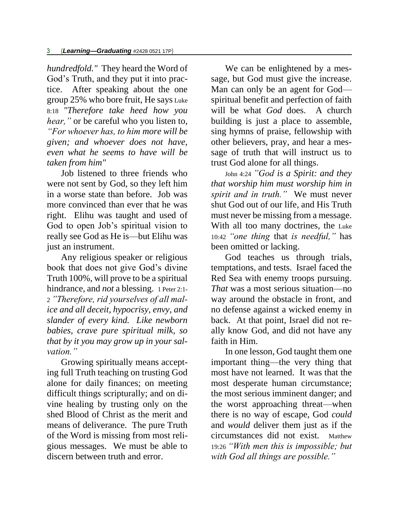*hundredfold."* They heard the Word of God's Truth, and they put it into practice. After speaking about the one group 25% who bore fruit, He says Luke 8:18 *"Therefore take heed how you hear,*" or be careful who you listen to, *"For whoever has, to him more will be given; and whoever does not have, even what he seems to have will be taken from him"*

Job listened to three friends who were not sent by God, so they left him in a worse state than before. Job was more convinced than ever that he was right. Elihu was taught and used of God to open Job's spiritual vision to really see God as He is—but Elihu was just an instrument.

Any religious speaker or religious book that does not give God's divine Truth 100%, will prove to be a spiritual hindrance, and *not* a blessing. 1 Peter 2:1-2 *"Therefore, rid yourselves of all malice and all deceit, hypocrisy, envy, and slander of every kind. Like newborn babies, crave pure spiritual milk, so that by it you may grow up in your salvation."*

Growing spiritually means accepting full Truth teaching on trusting God alone for daily finances; on meeting difficult things scripturally; and on divine healing by trusting only on the shed Blood of Christ as the merit and means of deliverance. The pure Truth of the Word is missing from most religious messages. We must be able to discern between truth and error.

We can be enlightened by a message, but God must give the increase. Man can only be an agent for God spiritual benefit and perfection of faith will be what *God* does. A church building is just a place to assemble, sing hymns of praise, fellowship with other believers, pray, and hear a message of truth that will instruct us to trust God alone for all things.

John 4:24 *"God is a Spirit: and they that worship him must worship him in spirit and in truth."* We must never shut God out of our life, and His Truth must never be missing from a message. With all too many doctrines, the Luke 10:42 *"one thing* that *is needful,"* has been omitted or lacking.

God teaches us through trials, temptations, and tests. Israel faced the Red Sea with enemy troops pursuing. *That* was a most serious situation—no way around the obstacle in front, and no defense against a wicked enemy in back. At that point, Israel did not really know God, and did not have any faith in Him.

In one lesson, God taught them one important thing—the very thing that most have not learned. It was that the most desperate human circumstance; the most serious imminent danger; and the worst approaching threat—when there is no way of escape, God *could* and *would* deliver them just as if the circumstances did not exist. Matthew 19:26 *"With men this is impossible; but with God all things are possible."*